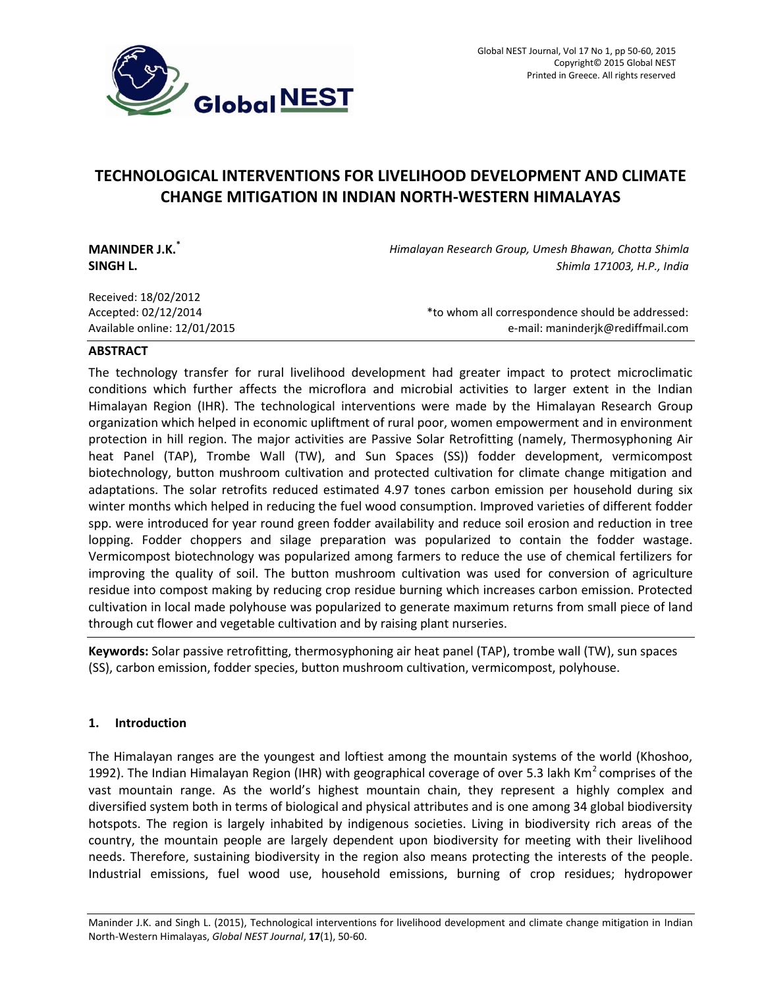

# **TECHNOLOGICAL INTERVENTIONS FOR LIVELIHOOD DEVELOPMENT AND CLIMATE CHANGE MITIGATION IN INDIAN NORTH-WESTERN HIMALAYAS**

| <b>MANINDER J.K.</b> *<br>SINGH L. | Himalayan Research Group, Umesh Bhawan, Chotta Shimla<br>Shimla 171003, H.P., India |
|------------------------------------|-------------------------------------------------------------------------------------|
| Received: 18/02/2012               |                                                                                     |
| Accepted: 02/12/2014               | *to whom all correspondence should be addressed:                                    |
| Available online: 12/01/2015       | e-mail: maninderjk@rediffmail.com                                                   |

## **ABSTRACT**

The technology transfer for rural livelihood development had greater impact to protect microclimatic conditions which further affects the microflora and microbial activities to larger extent in the Indian Himalayan Region (IHR). The technological interventions were made by the Himalayan Research Group organization which helped in economic upliftment of rural poor, women empowerment and in environment protection in hill region. The major activities are Passive Solar Retrofitting (namely, Thermosyphoning Air heat Panel (TAP), Trombe Wall (TW), and Sun Spaces (SS)) fodder development, vermicompost biotechnology, button mushroom cultivation and protected cultivation for climate change mitigation and adaptations. The solar retrofits reduced estimated 4.97 tones carbon emission per household during six winter months which helped in reducing the fuel wood consumption. Improved varieties of different fodder spp. were introduced for year round green fodder availability and reduce soil erosion and reduction in tree lopping. Fodder choppers and silage preparation was popularized to contain the fodder wastage. Vermicompost biotechnology was popularized among farmers to reduce the use of chemical fertilizers for improving the quality of soil. The button mushroom cultivation was used for conversion of agriculture residue into compost making by reducing crop residue burning which increases carbon emission. Protected cultivation in local made polyhouse was popularized to generate maximum returns from small piece of land through cut flower and vegetable cultivation and by raising plant nurseries.

**Keywords:** Solar passive retrofitting, thermosyphoning air heat panel (TAP), trombe wall (TW), sun spaces (SS), carbon emission, fodder species, button mushroom cultivation, vermicompost, polyhouse.

# **1. Introduction**

The Himalayan ranges are the youngest and loftiest among the mountain systems of the world (Khoshoo, 1992). The Indian Himalayan Region (IHR) with geographical coverage of over 5.3 lakh Km<sup>2</sup> comprises of the vast mountain range. As the world's highest mountain chain, they represent a highly complex and diversified system both in terms of biological and physical attributes and is one among 34 global biodiversity hotspots. The region is largely inhabited by indigenous societies. Living in biodiversity rich areas of the country, the mountain people are largely dependent upon biodiversity for meeting with their livelihood needs. Therefore, sustaining biodiversity in the region also means protecting the interests of the people. Industrial emissions, fuel wood use, household emissions, burning of crop residues; hydropower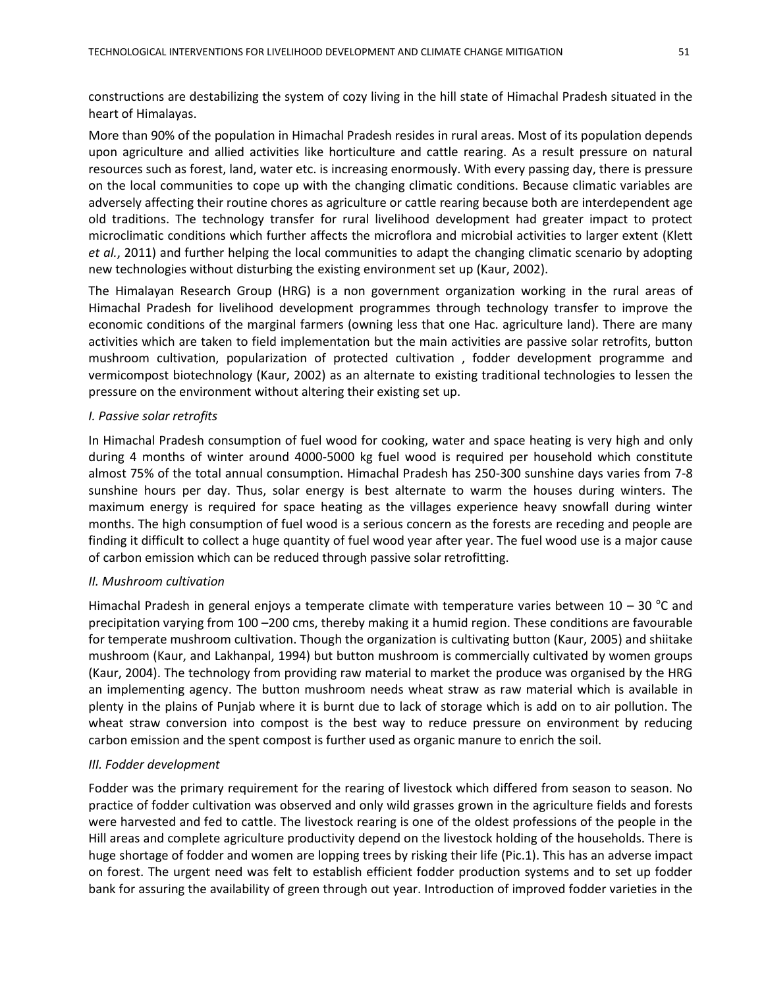constructions are destabilizing the system of cozy living in the hill state of Himachal Pradesh situated in the heart of Himalayas.

More than 90% of the population in Himachal Pradesh resides in rural areas. Most of its population depends upon agriculture and allied activities like horticulture and cattle rearing. As a result pressure on natural resources such as forest, land, water etc. is increasing enormously. With every passing day, there is pressure on the local communities to cope up with the changing climatic conditions. Because climatic variables are adversely affecting their routine chores as agriculture or cattle rearing because both are interdependent age old traditions. The technology transfer for rural livelihood development had greater impact to protect microclimatic conditions which further affects the microflora and microbial activities to larger extent (Klett *et al.*, 2011) and further helping the local communities to adapt the changing climatic scenario by adopting new technologies without disturbing the existing environment set up (Kaur, 2002).

The Himalayan Research Group (HRG) is a non government organization working in the rural areas of Himachal Pradesh for livelihood development programmes through technology transfer to improve the economic conditions of the marginal farmers (owning less that one Hac. agriculture land). There are many activities which are taken to field implementation but the main activities are passive solar retrofits, button mushroom cultivation, popularization of protected cultivation , fodder development programme and vermicompost biotechnology (Kaur, 2002) as an alternate to existing traditional technologies to lessen the pressure on the environment without altering their existing set up.

# *I. Passive solar retrofits*

In Himachal Pradesh consumption of fuel wood for cooking, water and space heating is very high and only during 4 months of winter around 4000-5000 kg fuel wood is required per household which constitute almost 75% of the total annual consumption. Himachal Pradesh has 250-300 sunshine days varies from 7-8 sunshine hours per day. Thus, solar energy is best alternate to warm the houses during winters. The maximum energy is required for space heating as the villages experience heavy snowfall during winter months. The high consumption of fuel wood is a serious concern as the forests are receding and people are finding it difficult to collect a huge quantity of fuel wood year after year. The fuel wood use is a major cause of carbon emission which can be reduced through passive solar retrofitting.

## *II. Mushroom cultivation*

Himachal Pradesh in general enjoys a temperate climate with temperature varies between  $10 - 30$  °C and precipitation varying from 100 –200 cms, thereby making it a humid region. These conditions are favourable for temperate mushroom cultivation. Though the organization is cultivating button (Kaur, 2005) and shiitake mushroom (Kaur, and Lakhanpal, 1994) but button mushroom is commercially cultivated by women groups (Kaur, 2004). The technology from providing raw material to market the produce was organised by the HRG an implementing agency. The button mushroom needs wheat straw as raw material which is available in plenty in the plains of Punjab where it is burnt due to lack of storage which is add on to air pollution. The wheat straw conversion into compost is the best way to reduce pressure on environment by reducing carbon emission and the spent compost is further used as organic manure to enrich the soil.

# *III. Fodder development*

Fodder was the primary requirement for the rearing of livestock which differed from season to season. No practice of fodder cultivation was observed and only wild grasses grown in the agriculture fields and forests were harvested and fed to cattle. The livestock rearing is one of the oldest professions of the people in the Hill areas and complete agriculture productivity depend on the livestock holding of the households. There is huge shortage of fodder and women are lopping trees by risking their life (Pic.1). This has an adverse impact on forest. The urgent need was felt to establish efficient fodder production systems and to set up fodder bank for assuring the availability of green through out year. Introduction of improved fodder varieties in the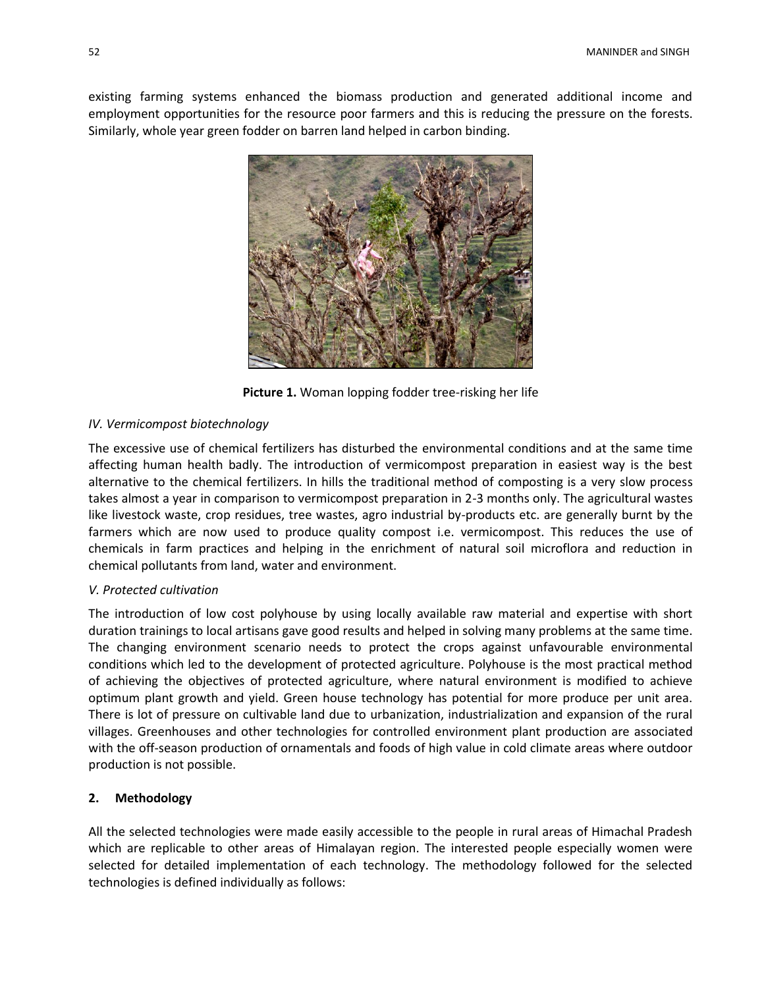existing farming systems enhanced the biomass production and generated additional income and employment opportunities for the resource poor farmers and this is reducing the pressure on the forests. Similarly, whole year green fodder on barren land helped in carbon binding.



**Picture 1.** Woman lopping fodder tree-risking her life

## *IV. Vermicompost biotechnology*

The excessive use of chemical fertilizers has disturbed the environmental conditions and at the same time affecting human health badly. The introduction of vermicompost preparation in easiest way is the best alternative to the chemical fertilizers. In hills the traditional method of composting is a very slow process takes almost a year in comparison to vermicompost preparation in 2-3 months only. The agricultural wastes like livestock waste, crop residues, tree wastes, agro industrial by-products etc. are generally burnt by the farmers which are now used to produce quality compost i.e. vermicompost. This reduces the use of chemicals in farm practices and helping in the enrichment of natural soil microflora and reduction in chemical pollutants from land, water and environment.

# *V. Protected cultivation*

The introduction of low cost polyhouse by using locally available raw material and expertise with short duration trainings to local artisans gave good results and helped in solving many problems at the same time. The changing environment scenario needs to protect the crops against unfavourable environmental conditions which led to the development of protected agriculture. Polyhouse is the most practical method of achieving the objectives of protected agriculture, where natural environment is modified to achieve optimum plant growth and yield. Green house technology has potential for more produce per unit area. There is lot of pressure on cultivable land due to urbanization, industrialization and expansion of the rural villages. Greenhouses and other technologies for controlled environment plant production are associated with the off-season production of ornamentals and foods of high value in cold climate areas where outdoor production is not possible.

# **2. Methodology**

All the selected technologies were made easily accessible to the people in rural areas of Himachal Pradesh which are replicable to other areas of Himalayan region. The interested people especially women were selected for detailed implementation of each technology. The methodology followed for the selected technologies is defined individually as follows: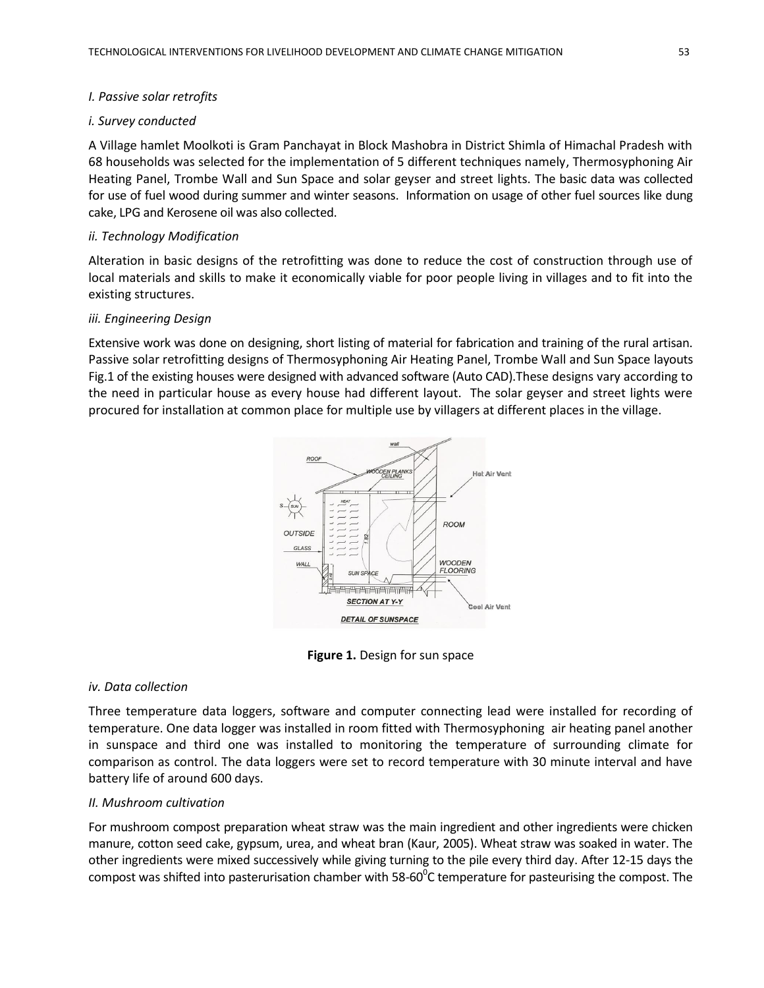## *I. Passive solar retrofits*

## *i. Survey conducted*

A Village hamlet Moolkoti is Gram Panchayat in Block Mashobra in District Shimla of Himachal Pradesh with 68 households was selected for the implementation of 5 different techniques namely, Thermosyphoning Air Heating Panel, Trombe Wall and Sun Space and solar geyser and street lights. The basic data was collected for use of fuel wood during summer and winter seasons. Information on usage of other fuel sources like dung cake, LPG and Kerosene oil was also collected.

## *ii. Technology Modification*

Alteration in basic designs of the retrofitting was done to reduce the cost of construction through use of local materials and skills to make it economically viable for poor people living in villages and to fit into the existing structures.

## *iii. Engineering Design*

Extensive work was done on designing, short listing of material for fabrication and training of the rural artisan. Passive solar retrofitting designs of Thermosyphoning Air Heating Panel, Trombe Wall and Sun Space layouts Fig.1 of the existing houses were designed with advanced software (Auto CAD).These designs vary according to the need in particular house as every house had different layout. The solar geyser and street lights were procured for installation at common place for multiple use by villagers at different places in the village.



**Figure 1.** Design for sun space

## *iv. Data collection*

Three temperature data loggers, software and computer connecting lead were installed for recording of temperature. One data logger was installed in room fitted with Thermosyphoning air heating panel another in sunspace and third one was installed to monitoring the temperature of surrounding climate for comparison as control. The data loggers were set to record temperature with 30 minute interval and have battery life of around 600 days.

## *II. Mushroom cultivation*

For mushroom compost preparation wheat straw was the main ingredient and other ingredients were chicken manure, cotton seed cake, gypsum, urea, and wheat bran (Kaur, 2005). Wheat straw was soaked in water. The other ingredients were mixed successively while giving turning to the pile every third day. After 12-15 days the compost was shifted into pasterurisation chamber with 58-60 $^{\circ}$ C temperature for pasteurising the compost. The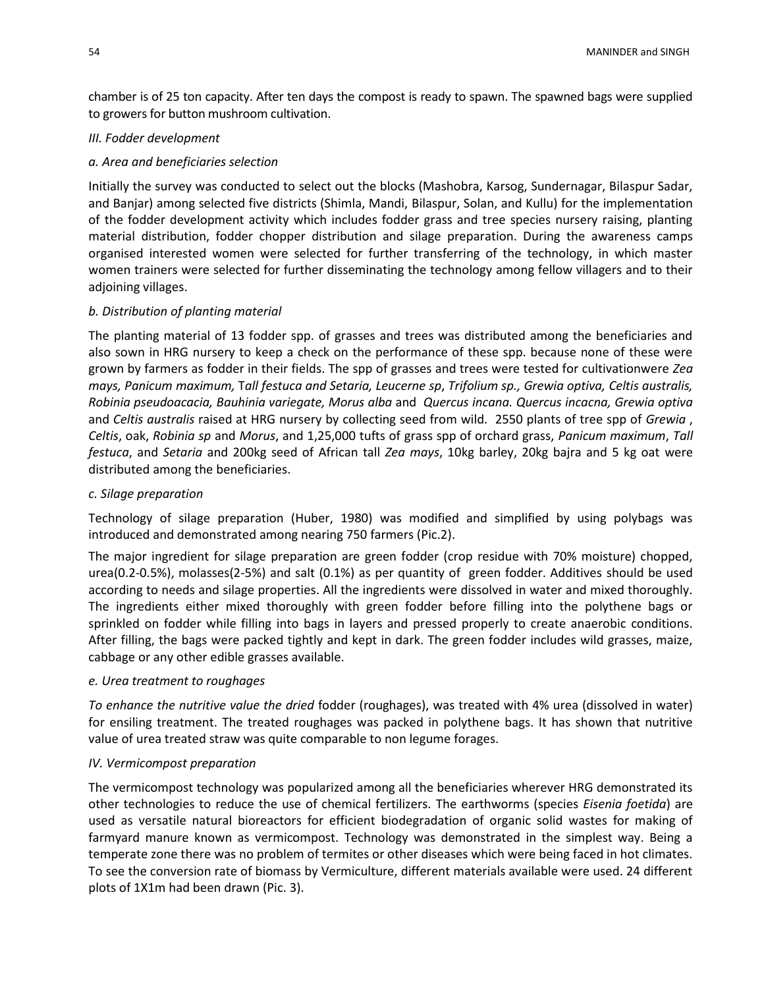chamber is of 25 ton capacity. After ten days the compost is ready to spawn. The spawned bags were supplied to growers for button mushroom cultivation.

## *III. Fodder development*

#### *a. Area and beneficiaries selection*

Initially the survey was conducted to select out the blocks (Mashobra, Karsog, Sundernagar, Bilaspur Sadar, and Banjar) among selected five districts (Shimla, Mandi, Bilaspur, Solan, and Kullu) for the implementation of the fodder development activity which includes fodder grass and tree species nursery raising, planting material distribution, fodder chopper distribution and silage preparation. During the awareness camps organised interested women were selected for further transferring of the technology, in which master women trainers were selected for further disseminating the technology among fellow villagers and to their adjoining villages.

#### *b. Distribution of planting material*

The planting material of 13 fodder spp. of grasses and trees was distributed among the beneficiaries and also sown in HRG nursery to keep a check on the performance of these spp. because none of these were grown by farmers as fodder in their fields. The spp of grasses and trees were tested for cultivationwere *Zea mays, Panicum maximum,* T*all festuca and Setaria, Leucerne sp*, *Trifolium sp., Grewia optiva, Celtis australis, Robinia pseudoacacia, Bauhinia variegate, Morus alba* and *Quercus incana. Quercus incacna, Grewia optiva*  and *Celtis australis* raised at HRG nursery by collecting seed from wild. 2550 plants of tree spp of *Grewia* , *Celtis*, oak, *Robinia sp* and *Morus*, and 1,25,000 tufts of grass spp of orchard grass, *Panicum maximum*, *Tall festuca*, and *Setaria* and 200kg seed of African tall *Zea mays*, 10kg barley, 20kg bajra and 5 kg oat were distributed among the beneficiaries.

#### *c. Silage preparation*

Technology of silage preparation (Huber, 1980) was modified and simplified by using polybags was introduced and demonstrated among nearing 750 farmers (Pic.2).

The major ingredient for silage preparation are green fodder (crop residue with 70% moisture) chopped, urea(0.2-0.5%), molasses(2-5%) and salt (0.1%) as per quantity of green fodder. Additives should be used according to needs and silage properties. All the ingredients were dissolved in water and mixed thoroughly. The ingredients either mixed thoroughly with green fodder before filling into the polythene bags or sprinkled on fodder while filling into bags in layers and pressed properly to create anaerobic conditions. After filling, the bags were packed tightly and kept in dark. The green fodder includes wild grasses, maize, cabbage or any other edible grasses available.

#### *e. Urea treatment to roughages*

*To enhance the nutritive value the dried* fodder (roughages), was treated with 4% urea (dissolved in water) for ensiling treatment. The treated roughages was packed in polythene bags. It has shown that nutritive value of urea treated straw was quite comparable to non legume forages.

#### *IV. Vermicompost preparation*

The vermicompost technology was popularized among all the beneficiaries wherever HRG demonstrated its other technologies to reduce the use of chemical fertilizers. The earthworms (species *Eisenia foetida*) are used as versatile natural bioreactors for efficient biodegradation of organic solid wastes for making of farmyard manure known as vermicompost. Technology was demonstrated in the simplest way. Being a temperate zone there was no problem of termites or other diseases which were being faced in hot climates. To see the conversion rate of biomass by Vermiculture, different materials available were used. 24 different plots of 1X1m had been drawn (Pic. 3).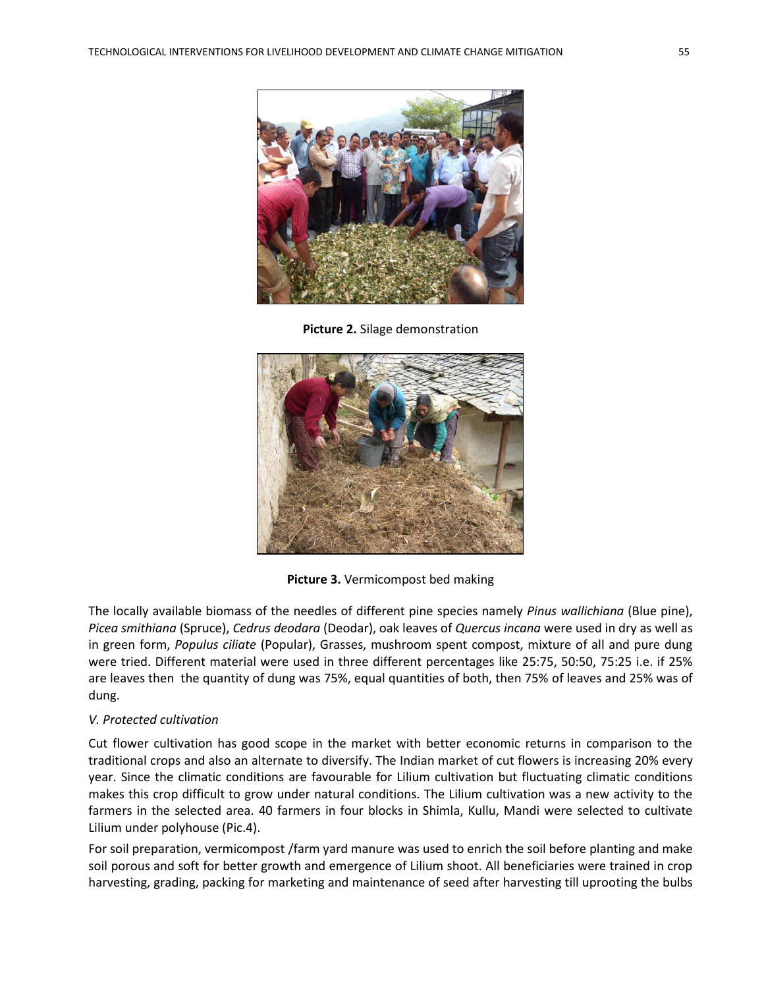

**Picture 2.** Silage demonstration



**Picture 3.** Vermicompost bed making

The locally available biomass of the needles of different pine species namely *Pinus wallichiana* (Blue pine), *Picea smithiana* (Spruce), *Cedrus deodara* (Deodar), oak leaves of *Quercus incana* were used in dry as well as in green form, *Populus ciliate* (Popular), Grasses, mushroom spent compost, mixture of all and pure dung were tried. Different material were used in three different percentages like 25:75, 50:50, 75:25 i.e. if 25% are leaves then the quantity of dung was 75%, equal quantities of both, then 75% of leaves and 25% was of dung.

## *V. Protected cultivation*

Cut flower cultivation has good scope in the market with better economic returns in comparison to the traditional crops and also an alternate to diversify. The Indian market of cut flowers is increasing 20% every year. Since the climatic conditions are favourable for Lilium cultivation but fluctuating climatic conditions makes this crop difficult to grow under natural conditions. The Lilium cultivation was a new activity to the farmers in the selected area. 40 farmers in four blocks in Shimla, Kullu, Mandi were selected to cultivate Lilium under polyhouse (Pic.4).

For soil preparation, vermicompost /farm yard manure was used to enrich the soil before planting and make soil porous and soft for better growth and emergence of Lilium shoot. All beneficiaries were trained in crop harvesting, grading, packing for marketing and maintenance of seed after harvesting till uprooting the bulbs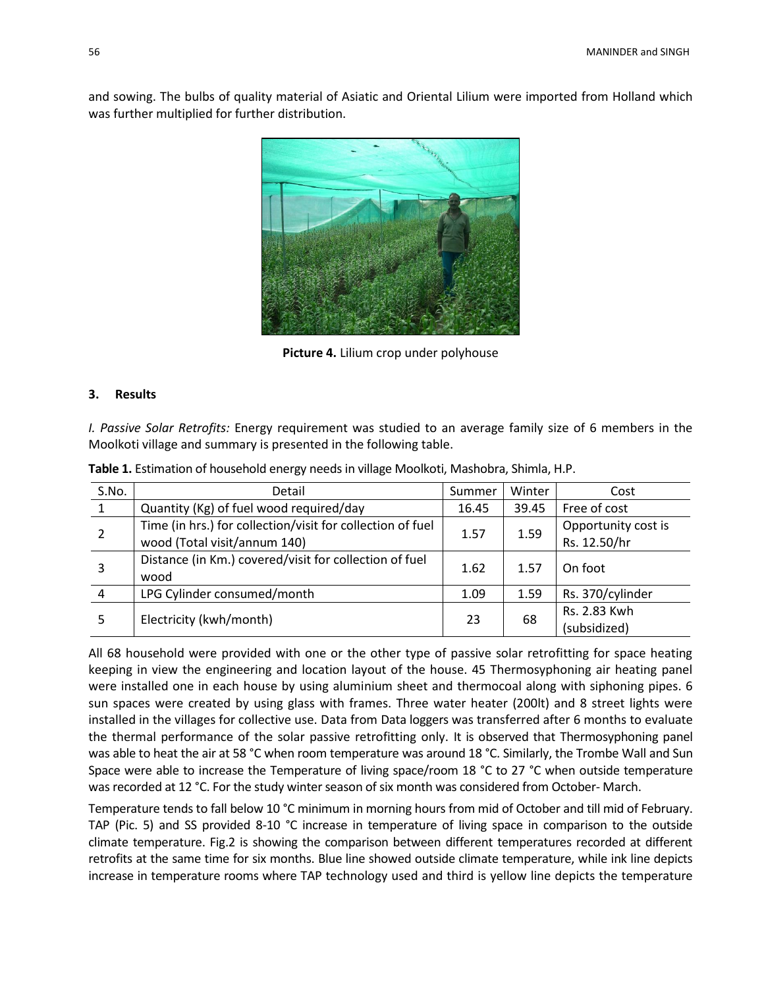and sowing. The bulbs of quality material of Asiatic and Oriental Lilium were imported from Holland which was further multiplied for further distribution.



**Picture 4.** Lilium crop under polyhouse

#### **3. Results**

*I. Passive Solar Retrofits:* Energy requirement was studied to an average family size of 6 members in the Moolkoti village and summary is presented in the following table.

| S.No.        | Detail                                                     | Summer | Winter | Cost                |
|--------------|------------------------------------------------------------|--------|--------|---------------------|
| $\mathbf{1}$ | Quantity (Kg) of fuel wood required/day                    | 16.45  | 39.45  | Free of cost        |
|              | Time (in hrs.) for collection/visit for collection of fuel | 1.57   | 1.59   | Opportunity cost is |
|              | wood (Total visit/annum 140)                               |        |        | Rs. 12.50/hr        |
|              | Distance (in Km.) covered/visit for collection of fuel     | 1.62   | 1.57   | On foot             |
|              | wood                                                       |        |        |                     |
| 4            | LPG Cylinder consumed/month                                | 1.09   | 1.59   | Rs. 370/cylinder    |
|              | Electricity (kwh/month)                                    | 23     | 68     | Rs. 2.83 Kwh        |
|              |                                                            |        |        | (subsidized)        |

**Table 1.** Estimation of household energy needs in village Moolkoti, Mashobra, Shimla, H.P.

All 68 household were provided with one or the other type of passive solar retrofitting for space heating keeping in view the engineering and location layout of the house. 45 Thermosyphoning air heating panel were installed one in each house by using aluminium sheet and thermocoal along with siphoning pipes. 6 sun spaces were created by using glass with frames. Three water heater (200lt) and 8 street lights were installed in the villages for collective use. Data from Data loggers was transferred after 6 months to evaluate the thermal performance of the solar passive retrofitting only. It is observed that Thermosyphoning panel was able to heat the air at 58 °C when room temperature was around 18 °C. Similarly, the Trombe Wall and Sun Space were able to increase the Temperature of living space/room 18 °C to 27 °C when outside temperature was recorded at 12 °C. For the study winter season of six month was considered from October- March.

Temperature tends to fall below 10 °C minimum in morning hours from mid of October and till mid of February. TAP (Pic. 5) and SS provided 8-10 °C increase in temperature of living space in comparison to the outside climate temperature. Fig.2 is showing the comparison between different temperatures recorded at different retrofits at the same time for six months. Blue line showed outside climate temperature, while ink line depicts increase in temperature rooms where TAP technology used and third is yellow line depicts the temperature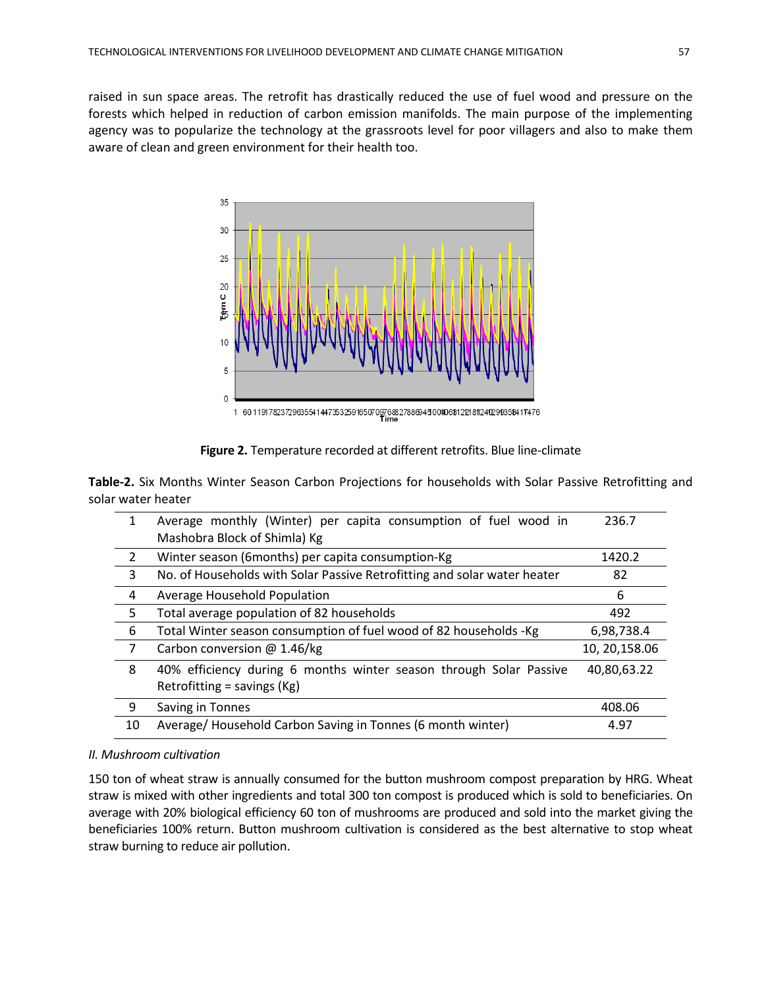raised in sun space areas. The retrofit has drastically reduced the use of fuel wood and pressure on the forests which helped in reduction of carbon emission manifolds. The main purpose of the implementing agency was to popularize the technology at the grassroots level for poor villagers and also to make them aware of clean and green environment for their health too.



**Figure 2.** Temperature recorded at different retrofits. Blue line-climate

**Table-2.** Six Months Winter Season Carbon Projections for households with Solar Passive Retrofitting and solar water heater

| 1              | Average monthly (Winter) per capita consumption of fuel wood in<br>Mashobra Block of Shimla) Kg | 236.7          |
|----------------|-------------------------------------------------------------------------------------------------|----------------|
| 2              | Winter season (6months) per capita consumption-Kg                                               | 1420.2         |
| 3              | No. of Households with Solar Passive Retrofitting and solar water heater                        | 82             |
| 4              | Average Household Population                                                                    | 6              |
| 5              | Total average population of 82 households                                                       | 492            |
| 6              | Total Winter season consumption of fuel wood of 82 households -Kg                               | 6,98,738.4     |
| $\overline{7}$ | Carbon conversion @ 1.46/kg                                                                     | 10, 20, 158.06 |
| 8              | 40% efficiency during 6 months winter season through Solar Passive                              | 40,80,63.22    |
|                | Retrofitting = savings $(Kg)$                                                                   |                |
| 9              | Saving in Tonnes                                                                                | 408.06         |
| 10             | Average/ Household Carbon Saving in Tonnes (6 month winter)                                     | 4.97           |

# *II. Mushroom cultivation*

150 ton of wheat straw is annually consumed for the button mushroom compost preparation by HRG. Wheat straw is mixed with other ingredients and total 300 ton compost is produced which is sold to beneficiaries. On average with 20% biological efficiency 60 ton of mushrooms are produced and sold into the market giving the beneficiaries 100% return. Button mushroom cultivation is considered as the best alternative to stop wheat straw burning to reduce air pollution.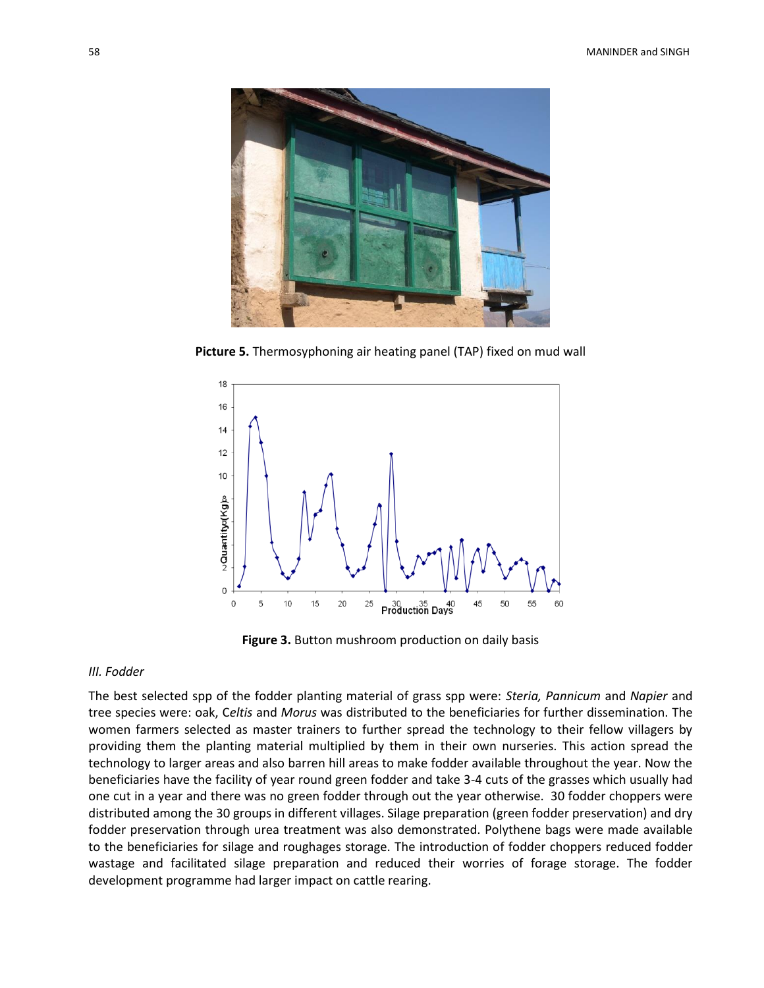

**Picture 5.** Thermosyphoning air heating panel (TAP) fixed on mud wall



**Figure 3.** Button mushroom production on daily basis

## *III. Fodder*

The best selected spp of the fodder planting material of grass spp were: *Steria, Pannicum* and *Napier* and tree species were: oak, C*eltis* and *Morus* was distributed to the beneficiaries for further dissemination. The women farmers selected as master trainers to further spread the technology to their fellow villagers by providing them the planting material multiplied by them in their own nurseries. This action spread the technology to larger areas and also barren hill areas to make fodder available throughout the year. Now the beneficiaries have the facility of year round green fodder and take 3-4 cuts of the grasses which usually had one cut in a year and there was no green fodder through out the year otherwise. 30 fodder choppers were distributed among the 30 groups in different villages. Silage preparation (green fodder preservation) and dry fodder preservation through urea treatment was also demonstrated. Polythene bags were made available to the beneficiaries for silage and roughages storage. The introduction of fodder choppers reduced fodder wastage and facilitated silage preparation and reduced their worries of forage storage. The fodder development programme had larger impact on cattle rearing.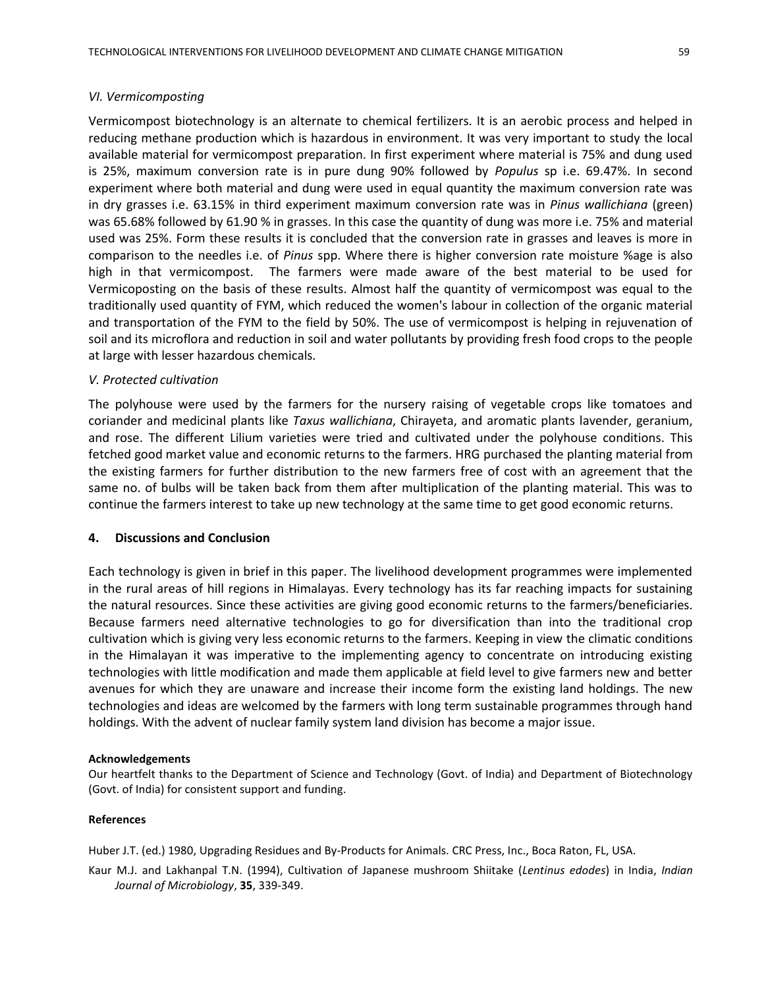#### *VI. Vermicomposting*

Vermicompost biotechnology is an alternate to chemical fertilizers. It is an aerobic process and helped in reducing methane production which is hazardous in environment. It was very important to study the local available material for vermicompost preparation. In first experiment where material is 75% and dung used is 25%, maximum conversion rate is in pure dung 90% followed by *Populus* sp i.e. 69.47%. In second experiment where both material and dung were used in equal quantity the maximum conversion rate was in dry grasses i.e. 63.15% in third experiment maximum conversion rate was in *Pinus wallichiana* (green) was 65.68% followed by 61.90 % in grasses. In this case the quantity of dung was more i.e. 75% and material used was 25%. Form these results it is concluded that the conversion rate in grasses and leaves is more in comparison to the needles i.e. of *Pinus* spp. Where there is higher conversion rate moisture %age is also high in that vermicompost. The farmers were made aware of the best material to be used for Vermicoposting on the basis of these results. Almost half the quantity of vermicompost was equal to the traditionally used quantity of FYM, which reduced the women's labour in collection of the organic material and transportation of the FYM to the field by 50%. The use of vermicompost is helping in rejuvenation of soil and its microflora and reduction in soil and water pollutants by providing fresh food crops to the people at large with lesser hazardous chemicals.

#### *V. Protected cultivation*

The polyhouse were used by the farmers for the nursery raising of vegetable crops like tomatoes and coriander and medicinal plants like *Taxus wallichiana*, Chirayeta, and aromatic plants lavender, geranium, and rose. The different Lilium varieties were tried and cultivated under the polyhouse conditions. This fetched good market value and economic returns to the farmers. HRG purchased the planting material from the existing farmers for further distribution to the new farmers free of cost with an agreement that the same no. of bulbs will be taken back from them after multiplication of the planting material. This was to continue the farmers interest to take up new technology at the same time to get good economic returns.

## **4. Discussions and Conclusion**

Each technology is given in brief in this paper. The livelihood development programmes were implemented in the rural areas of hill regions in Himalayas. Every technology has its far reaching impacts for sustaining the natural resources. Since these activities are giving good economic returns to the farmers/beneficiaries. Because farmers need alternative technologies to go for diversification than into the traditional crop cultivation which is giving very less economic returns to the farmers. Keeping in view the climatic conditions in the Himalayan it was imperative to the implementing agency to concentrate on introducing existing technologies with little modification and made them applicable at field level to give farmers new and better avenues for which they are unaware and increase their income form the existing land holdings. The new technologies and ideas are welcomed by the farmers with long term sustainable programmes through hand holdings. With the advent of nuclear family system land division has become a major issue.

#### **Acknowledgements**

Our heartfelt thanks to the Department of Science and Technology (Govt. of India) and Department of Biotechnology (Govt. of India) for consistent support and funding.

#### **References**

Huber J.T. (ed.) 1980, Upgrading Residues and By-Products for Animals. CRC Press, Inc., Boca Raton, FL, USA.

Kaur M.J. and Lakhanpal T.N. (1994), Cultivation of Japanese mushroom Shiitake (*Lentinus edodes*) in India, *Indian Journal of Microbiology*, **35**, 339-349.